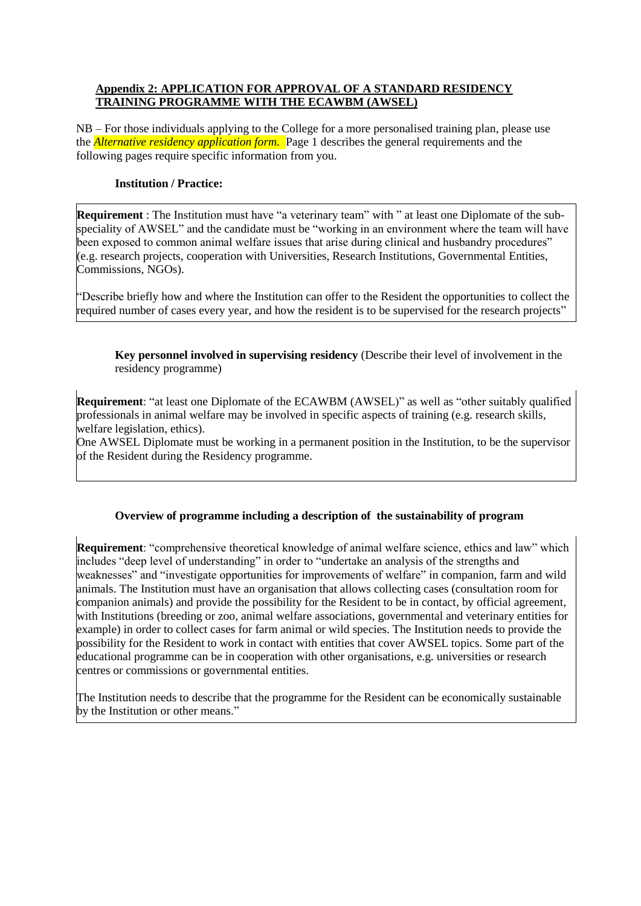## **Appendix 2: APPLICATION FOR APPROVAL OF A STANDARD RESIDENCY TRAINING PROGRAMME WITH THE ECAWBM (AWSEL)**

NB – For those individuals applying to the College for a more personalised training plan, please use the *Alternative residency application form.* Page 1 describes the general requirements and the following pages require specific information from you.

# **Institution / Practice:**

**Requirement** : The Institution must have "a veterinary team" with " at least one Diplomate of the subspeciality of AWSEL" and the candidate must be "working in an environment where the team will have been exposed to common animal welfare issues that arise during clinical and husbandry procedures" (e.g. research projects, cooperation with Universities, Research Institutions, Governmental Entities, Commissions, NGOs).

"Describe briefly how and where the Institution can offer to the Resident the opportunities to collect the required number of cases every year, and how the resident is to be supervised for the research projects"

**Key personnel involved in supervising residency** (Describe their level of involvement in the residency programme)

**Requirement**: "at least one Diplomate of the ECAWBM (AWSEL)" as well as "other suitably qualified professionals in animal welfare may be involved in specific aspects of training (e.g. research skills, welfare legislation, ethics).

One AWSEL Diplomate must be working in a permanent position in the Institution, to be the supervisor of the Resident during the Residency programme.

# **Overview of programme including a description of the sustainability of program**

**Requirement**: "comprehensive theoretical knowledge of animal welfare science, ethics and law" which includes "deep level of understanding" in order to "undertake an analysis of the strengths and weaknesses" and "investigate opportunities for improvements of welfare" in companion, farm and wild animals. The Institution must have an organisation that allows collecting cases (consultation room for companion animals) and provide the possibility for the Resident to be in contact, by official agreement, with Institutions (breeding or zoo, animal welfare associations, governmental and veterinary entities for example) in order to collect cases for farm animal or wild species. The Institution needs to provide the possibility for the Resident to work in contact with entities that cover AWSEL topics. Some part of the educational programme can be in cooperation with other organisations, e.g. universities or research centres or commissions or governmental entities.

The Institution needs to describe that the programme for the Resident can be economically sustainable by the Institution or other means."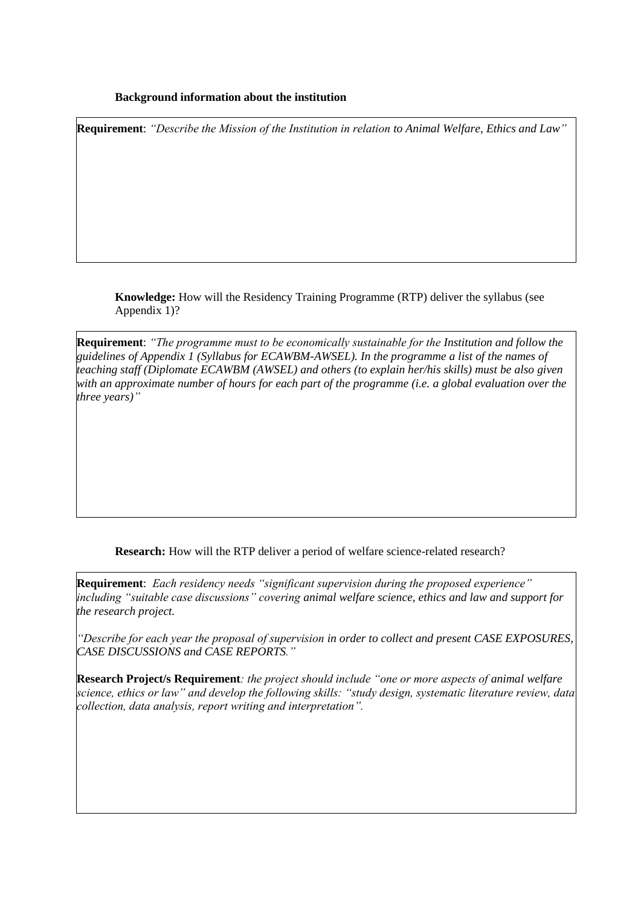### **Background information about the institution**

**Requirement**: *"Describe the Mission of the Institution in relation to Animal Welfare, Ethics and Law"*

**Knowledge:** How will the Residency Training Programme (RTP) deliver the syllabus (see Appendix 1)?

**Requirement**: *"The programme must to be economically sustainable for the Institution and follow the guidelines of Appendix 1 (Syllabus for ECAWBM-AWSEL). In the programme a list of the names of teaching staff (Diplomate ECAWBM (AWSEL) and others (to explain her/his skills) must be also given with an approximate number of hours for each part of the programme (i.e. a global evaluation over the three years)"*

**Research:** How will the RTP deliver a period of welfare science-related research?

**Requirement**: *Each residency needs "significant supervision during the proposed experience" including "suitable case discussions" covering animal welfare science, ethics and law and support for the research project.* 

*"Describe for each year the proposal of supervision in order to collect and present CASE EXPOSURES, CASE DISCUSSIONS and CASE REPORTS."*

**Research Project/s Requirement***: the project should include "one or more aspects of animal welfare science, ethics or law" and develop the following skills: "study design, systematic literature review, data collection, data analysis, report writing and interpretation".*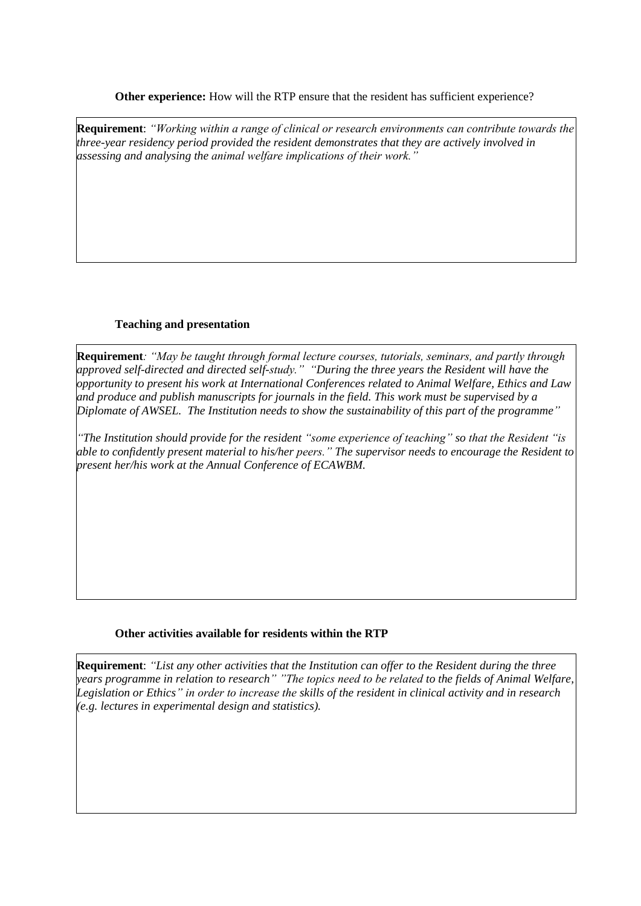**Other experience:** How will the RTP ensure that the resident has sufficient experience?

**Requirement**: *"Working within a range of clinical or research environments can contribute towards the three-year residency period provided the resident demonstrates that they are actively involved in assessing and analysing the animal welfare implications of their work."*

# **Teaching and presentation**

**Requirement***: "May be taught through formal lecture courses, tutorials, seminars, and partly through approved self-directed and directed self-study." "During the three years the Resident will have the opportunity to present his work at International Conferences related to Animal Welfare, Ethics and Law and produce and publish manuscripts for journals in the field. This work must be supervised by a Diplomate of AWSEL. The Institution needs to show the sustainability of this part of the programme"* 

*"The Institution should provide for the resident "some experience of teaching" so that the Resident "is able to confidently present material to his/her peers." The supervisor needs to encourage the Resident to present her/his work at the Annual Conference of ECAWBM.*

# **Other activities available for residents within the RTP**

**Requirement**: *"List any other activities that the Institution can offer to the Resident during the three years programme in relation to research" "The topics need to be related to the fields of Animal Welfare, Legislation or Ethics" in order to increase the skills of the resident in clinical activity and in research (e.g. lectures in experimental design and statistics).*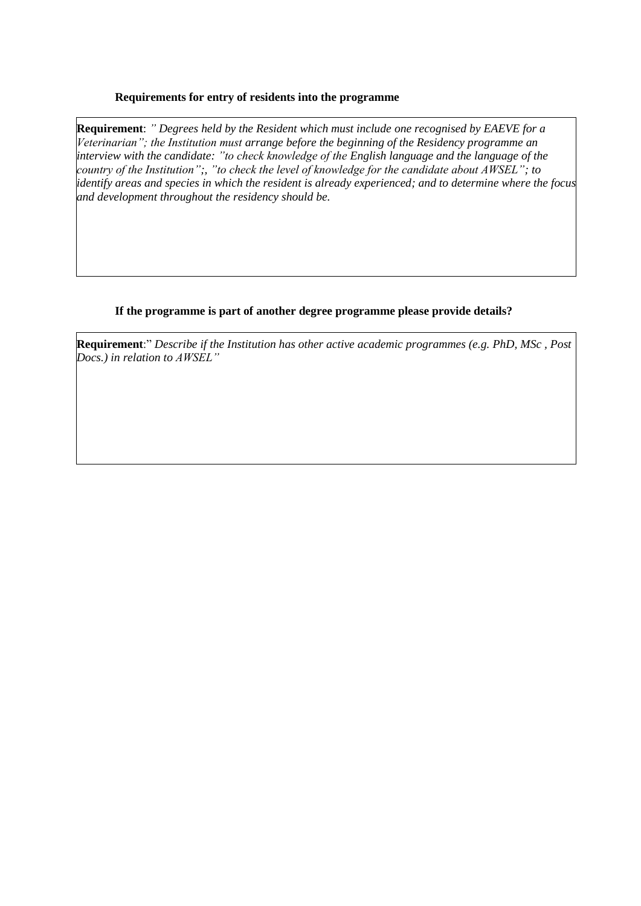## **Requirements for entry of residents into the programme**

**Requirement**: *" Degrees held by the Resident which must include one recognised by EAEVE for a Veterinarian"; the Institution must arrange before the beginning of the Residency programme an interview with the candidate: "to check knowledge of the English language and the language of the country of the Institution";, "to check the level of knowledge for the candidate about AWSEL"; to identify areas and species in which the resident is already experienced; and to determine where the focus and development throughout the residency should be.*

# **If the programme is part of another degree programme please provide details?**

**Requirement**:" *Describe if the Institution has other active academic programmes (e.g. PhD, MSc , Post Docs.) in relation to AWSEL"*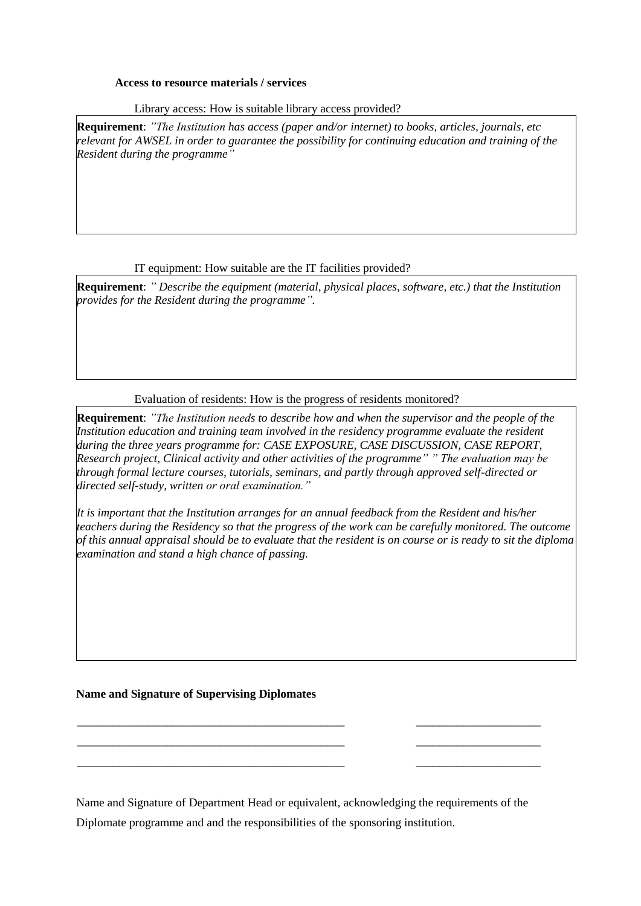#### **Access to resource materials / services**

Library access: How is suitable library access provided?

**Requirement**: *"The Institution has access (paper and/or internet) to books, articles, journals, etc relevant for AWSEL in order to guarantee the possibility for continuing education and training of the Resident during the programme"*

### IT equipment: How suitable are the IT facilities provided?

**Requirement**: *" Describe the equipment (material, physical places, software, etc.) that the Institution provides for the Resident during the programme".* 

## Evaluation of residents: How is the progress of residents monitored?

**Requirement**: *"The Institution needs to describe how and when the supervisor and the people of the Institution education and training team involved in the residency programme evaluate the resident during the three years programme for: CASE EXPOSURE, CASE DISCUSSION, CASE REPORT, Research project, Clinical activity and other activities of the programme" " The evaluation may be through formal lecture courses, tutorials, seminars, and partly through approved self-directed or directed self-study, written or oral examination."*

*It is important that the Institution arranges for an annual feedback from the Resident and his/her teachers during the Residency so that the progress of the work can be carefully monitored. The outcome of this annual appraisal should be to evaluate that the resident is on course or is ready to sit the diploma examination and stand a high chance of passing.* 

#### **Name and Signature of Supervising Diplomates**

Name and Signature of Department Head or equivalent, acknowledging the requirements of the Diplomate programme and and the responsibilities of the sponsoring institution.

\_\_\_\_\_\_\_\_\_\_\_\_\_\_\_\_\_\_\_\_\_\_\_\_\_\_\_\_\_\_\_\_\_\_\_\_\_\_\_\_\_\_\_\_\_ \_\_\_\_\_\_\_\_\_\_\_\_\_\_\_\_\_\_\_\_\_ \_\_\_\_\_\_\_\_\_\_\_\_\_\_\_\_\_\_\_\_\_\_\_\_\_\_\_\_\_\_\_\_\_\_\_\_\_\_\_\_\_\_\_\_\_ \_\_\_\_\_\_\_\_\_\_\_\_\_\_\_\_\_\_\_\_\_ \_\_\_\_\_\_\_\_\_\_\_\_\_\_\_\_\_\_\_\_\_\_\_\_\_\_\_\_\_\_\_\_\_\_\_\_\_\_\_\_\_\_\_\_\_ \_\_\_\_\_\_\_\_\_\_\_\_\_\_\_\_\_\_\_\_\_